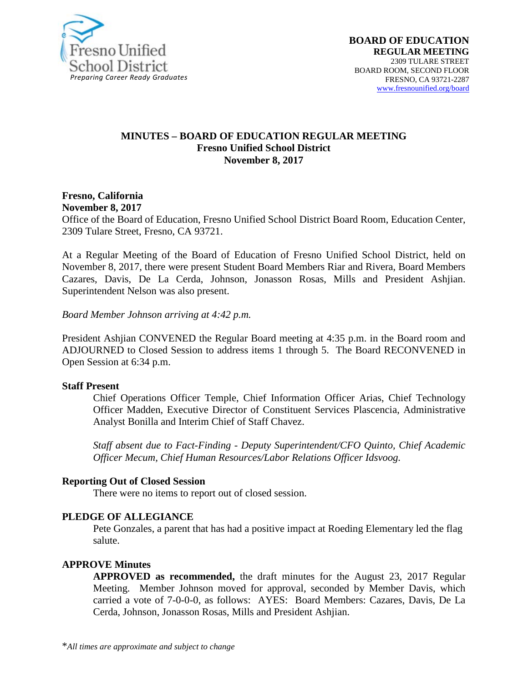

#### **MINUTES – BOARD OF EDUCATION REGULAR MEETING Fresno Unified School District November 8, 2017**

#### **Fresno, California November 8, 2017**

Office of the Board of Education, Fresno Unified School District Board Room, Education Center, 2309 Tulare Street, Fresno, CA 93721.

At a Regular Meeting of the Board of Education of Fresno Unified School District, held on November 8, 2017, there were present Student Board Members Riar and Rivera, Board Members Cazares, Davis, De La Cerda, Johnson, Jonasson Rosas, Mills and President Ashjian. Superintendent Nelson was also present.

*Board Member Johnson arriving at 4:42 p.m.*

President Ashjian CONVENED the Regular Board meeting at 4:35 p.m. in the Board room and ADJOURNED to Closed Session to address items 1 through 5. The Board RECONVENED in Open Session at 6:34 p.m.

#### **Staff Present**

Chief Operations Officer Temple, Chief Information Officer Arias, Chief Technology Officer Madden, Executive Director of Constituent Services Plascencia, Administrative Analyst Bonilla and Interim Chief of Staff Chavez.

*Staff absent due to Fact-Finding - Deputy Superintendent/CFO Quinto, Chief Academic Officer Mecum, Chief Human Resources/Labor Relations Officer Idsvoog.*

#### **Reporting Out of Closed Session**

There were no items to report out of closed session.

#### **PLEDGE OF ALLEGIANCE**

Pete Gonzales, a parent that has had a positive impact at Roeding Elementary led the flag salute.

#### **APPROVE Minutes**

**APPROVED as recommended,** the draft minutes for the August 23, 2017 Regular Meeting. Member Johnson moved for approval, seconded by Member Davis, which carried a vote of 7-0-0-0, as follows: AYES: Board Members: Cazares, Davis, De La Cerda, Johnson, Jonasson Rosas, Mills and President Ashjian.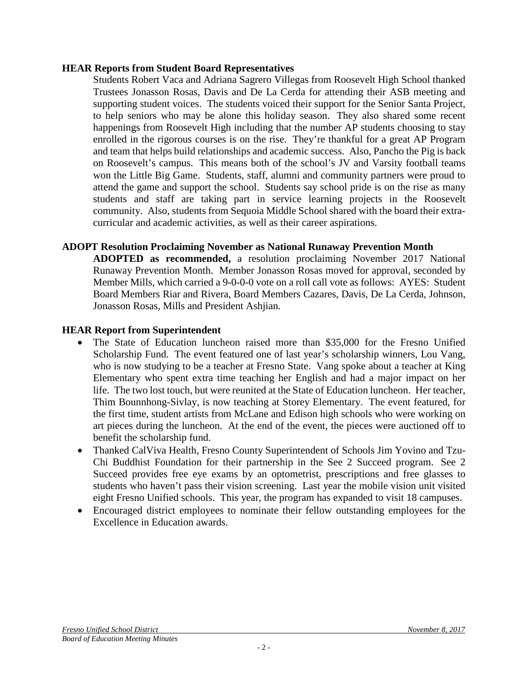#### **HEAR Reports from Student Board Representatives**

Students Robert Vaca and Adriana Sagrero Villegas from Roosevelt High School thanked Trustees Jonasson Rosas, Davis and De La Cerda for attending their ASB meeting and supporting student voices. The students voiced their support for the Senior Santa Project, to help seniors who may be alone this holiday season. They also shared some recent happenings from Roosevelt High including that the number AP students choosing to stay enrolled in the rigorous courses is on the rise. They're thankful for a great AP Program and team that helps build relationships and academic success. Also, Pancho the Pig is back on Roosevelt's campus. This means both of the school's JV and Varsity football teams won the Little Big Game. Students, staff, alumni and community partners were proud to attend the game and support the school. Students say school pride is on the rise as many students and staff are taking part in service learning projects in the Roosevelt community. Also, students from Sequoia Middle School shared with the board their extracurricular and academic activities, as well as their career aspirations.

### **ADOPT Resolution Proclaiming November as National Runaway Prevention Month**

**ADOPTED as recommended,** a resolution proclaiming November 2017 National Runaway Prevention Month. Member Jonasson Rosas moved for approval, seconded by Member Mills, which carried a 9-0-0-0 vote on a roll call vote as follows: AYES: Student Board Members Riar and Rivera, Board Members Cazares, Davis, De La Cerda, Johnson, Jonasson Rosas, Mills and President Ashjian.

#### **HEAR Report from Superintendent**

- The State of Education luncheon raised more than \$35,000 for the Fresno Unified Scholarship Fund. The event featured one of last year's scholarship winners, Lou Vang, who is now studying to be a teacher at Fresno State. Vang spoke about a teacher at King Elementary who spent extra time teaching her English and had a major impact on her life. The two lost touch, but were reunited at the State of Education luncheon. Her teacher, Thim Bounnhong-Sivlay, is now teaching at Storey Elementary. The event featured, for the first time, student artists from McLane and Edison high schools who were working on art pieces during the luncheon. At the end of the event, the pieces were auctioned off to benefit the scholarship fund.
- Thanked CalViva Health, Fresno County Superintendent of Schools Jim Yovino and Tzu-Chi Buddhist Foundation for their partnership in the See 2 Succeed program. See 2 Succeed provides free eye exams by an optometrist, prescriptions and free glasses to students who haven't pass their vision screening. Last year the mobile vision unit visited eight Fresno Unified schools. This year, the program has expanded to visit 18 campuses.
- Encouraged district employees to nominate their fellow outstanding employees for the Excellence in Education awards.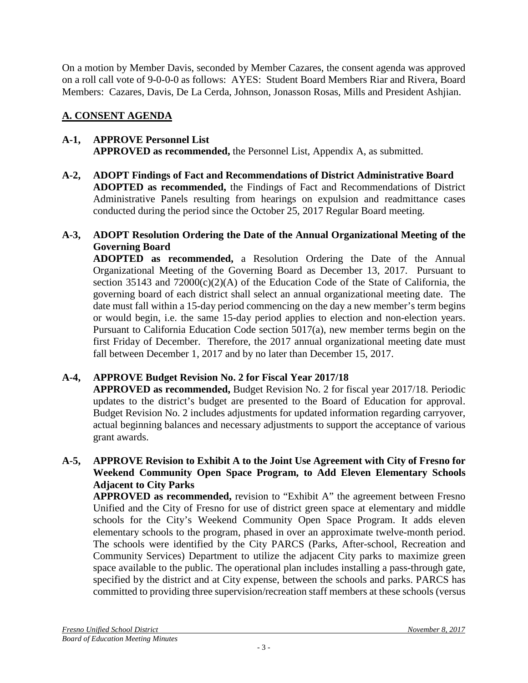On a motion by Member Davis, seconded by Member Cazares, the consent agenda was approved on a roll call vote of 9-0-0-0 as follows: AYES: Student Board Members Riar and Rivera, Board Members: Cazares, Davis, De La Cerda, Johnson, Jonasson Rosas, Mills and President Ashjian.

# **A. CONSENT AGENDA**

## **A-1, APPROVE Personnel List APPROVED as recommended,** the Personnel List, Appendix A, as submitted.

**A-2, ADOPT Findings of Fact and Recommendations of District Administrative Board ADOPTED as recommended,** the Findings of Fact and Recommendations of District Administrative Panels resulting from hearings on expulsion and readmittance cases conducted during the period since the October 25, 2017 Regular Board meeting.

# **A-3, ADOPT Resolution Ordering the Date of the Annual Organizational Meeting of the Governing Board**

**ADOPTED as recommended,** a Resolution Ordering the Date of the Annual Organizational Meeting of the Governing Board as December 13, 2017. Pursuant to section 35143 and 72000(c)(2)(A) of the Education Code of the State of California, the governing board of each district shall select an annual organizational meeting date. The date must fall within a 15-day period commencing on the day a new member's term begins or would begin, i.e. the same 15-day period applies to election and non-election years. Pursuant to California Education Code section 5017(a), new member terms begin on the first Friday of December. Therefore, the 2017 annual organizational meeting date must fall between December 1, 2017 and by no later than December 15, 2017.

# **A-4, APPROVE Budget Revision No. 2 for Fiscal Year 2017/18**

**APPROVED as recommended,** Budget Revision No. 2 for fiscal year 2017/18. Periodic updates to the district's budget are presented to the Board of Education for approval. Budget Revision No. 2 includes adjustments for updated information regarding carryover, actual beginning balances and necessary adjustments to support the acceptance of various grant awards.

## **A-5, APPROVE Revision to Exhibit A to the Joint Use Agreement with City of Fresno for Weekend Community Open Space Program, to Add Eleven Elementary Schools Adjacent to City Parks**

**APPROVED as recommended,** revision to "Exhibit A" the agreement between Fresno Unified and the City of Fresno for use of district green space at elementary and middle schools for the City's Weekend Community Open Space Program. It adds eleven elementary schools to the program, phased in over an approximate twelve-month period. The schools were identified by the City PARCS (Parks, After-school, Recreation and Community Services) Department to utilize the adjacent City parks to maximize green space available to the public. The operational plan includes installing a pass-through gate, specified by the district and at City expense, between the schools and parks. PARCS has committed to providing three supervision/recreation staff members at these schools (versus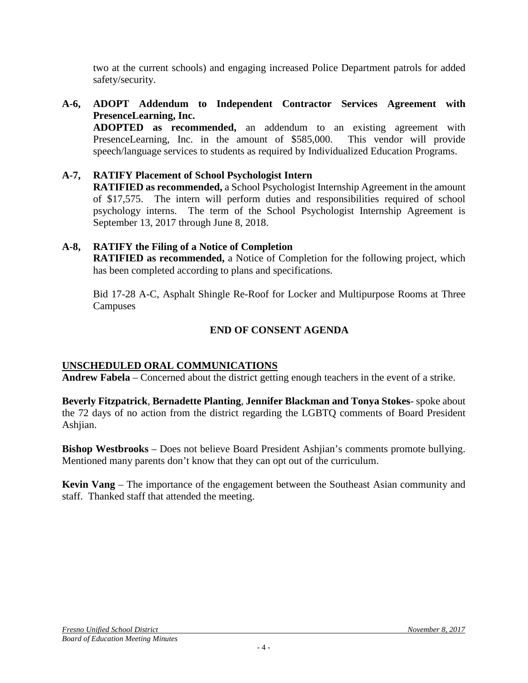two at the current schools) and engaging increased Police Department patrols for added safety/security.

**A-6, ADOPT Addendum to Independent Contractor Services Agreement with PresenceLearning, Inc.**

**ADOPTED as recommended,** an addendum to an existing agreement with PresenceLearning, Inc. in the amount of \$585,000. This vendor will provide speech/language services to students as required by Individualized Education Programs.

**A-7, RATIFY Placement of School Psychologist Intern RATIFIED as recommended,** a School Psychologist Internship Agreement in the amount of \$17,575. The intern will perform duties and responsibilities required of school psychology interns. The term of the School Psychologist Internship Agreement is September 13, 2017 through June 8, 2018.

## **A-8, RATIFY the Filing of a Notice of Completion**

**RATIFIED as recommended,** a Notice of Completion for the following project, which has been completed according to plans and specifications.

Bid 17-28 A-C, Asphalt Shingle Re-Roof for Locker and Multipurpose Rooms at Three **Campuses** 

## **END OF CONSENT AGENDA**

### **UNSCHEDULED ORAL COMMUNICATIONS**

**Andrew Fabela** – Concerned about the district getting enough teachers in the event of a strike.

**Beverly Fitzpatrick**, **Bernadette Planting**, **Jennifer Blackman and Tonya Stokes**- spoke about the 72 days of no action from the district regarding the LGBTQ comments of Board President Ashjian.

**Bishop Westbrooks** – Does not believe Board President Ashjian's comments promote bullying. Mentioned many parents don't know that they can opt out of the curriculum.

**Kevin Vang** – The importance of the engagement between the Southeast Asian community and staff. Thanked staff that attended the meeting.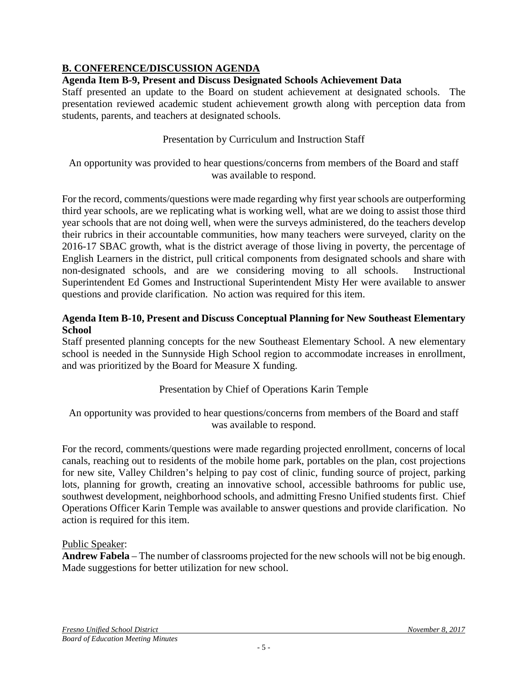# **B. CONFERENCE/DISCUSSION AGENDA**

## **Agenda Item B-9, Present and Discuss Designated Schools Achievement Data**

Staff presented an update to the Board on student achievement at designated schools. The presentation reviewed academic student achievement growth along with perception data from students, parents, and teachers at designated schools.

Presentation by Curriculum and Instruction Staff

An opportunity was provided to hear questions/concerns from members of the Board and staff was available to respond.

For the record, comments/questions were made regarding why first year schools are outperforming third year schools, are we replicating what is working well, what are we doing to assist those third year schools that are not doing well, when were the surveys administered, do the teachers develop their rubrics in their accountable communities, how many teachers were surveyed, clarity on the 2016-17 SBAC growth, what is the district average of those living in poverty, the percentage of English Learners in the district, pull critical components from designated schools and share with non-designated schools, and are we considering moving to all schools. Instructional Superintendent Ed Gomes and Instructional Superintendent Misty Her were available to answer questions and provide clarification. No action was required for this item.

## **Agenda Item B-10, Present and Discuss Conceptual Planning for New Southeast Elementary School**

Staff presented planning concepts for the new Southeast Elementary School. A new elementary school is needed in the Sunnyside High School region to accommodate increases in enrollment, and was prioritized by the Board for Measure X funding.

# Presentation by Chief of Operations Karin Temple

An opportunity was provided to hear questions/concerns from members of the Board and staff was available to respond.

For the record, comments/questions were made regarding projected enrollment, concerns of local canals, reaching out to residents of the mobile home park, portables on the plan, cost projections for new site, Valley Children's helping to pay cost of clinic, funding source of project, parking lots, planning for growth, creating an innovative school, accessible bathrooms for public use, southwest development, neighborhood schools, and admitting Fresno Unified students first. Chief Operations Officer Karin Temple was available to answer questions and provide clarification. No action is required for this item.

### Public Speaker:

**Andrew Fabela** – The number of classrooms projected for the new schools will not be big enough. Made suggestions for better utilization for new school.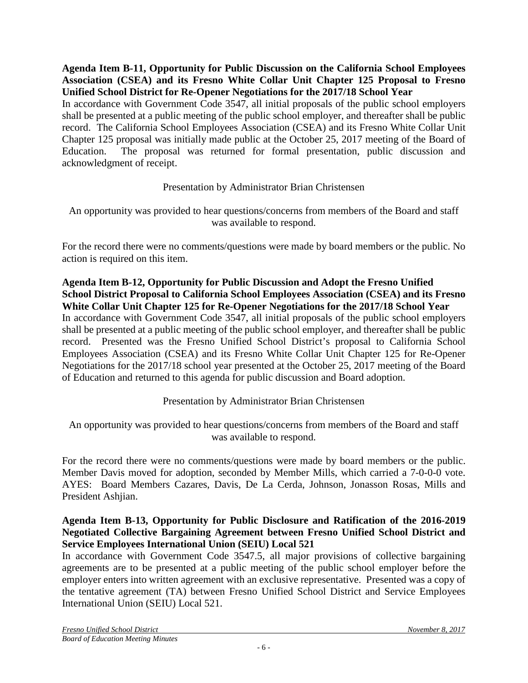### **Agenda Item B-11, Opportunity for Public Discussion on the California School Employees Association (CSEA) and its Fresno White Collar Unit Chapter 125 Proposal to Fresno Unified School District for Re-Opener Negotiations for the 2017/18 School Year**

In accordance with Government Code 3547, all initial proposals of the public school employers shall be presented at a public meeting of the public school employer, and thereafter shall be public record. The California School Employees Association (CSEA) and its Fresno White Collar Unit Chapter 125 proposal was initially made public at the October 25, 2017 meeting of the Board of Education. The proposal was returned for formal presentation, public discussion and acknowledgment of receipt.

## Presentation by Administrator Brian Christensen

## An opportunity was provided to hear questions/concerns from members of the Board and staff was available to respond.

For the record there were no comments/questions were made by board members or the public. No action is required on this item.

**Agenda Item B-12, Opportunity for Public Discussion and Adopt the Fresno Unified School District Proposal to California School Employees Association (CSEA) and its Fresno White Collar Unit Chapter 125 for Re-Opener Negotiations for the 2017/18 School Year** In accordance with Government Code 3547, all initial proposals of the public school employers shall be presented at a public meeting of the public school employer, and thereafter shall be public record. Presented was the Fresno Unified School District's proposal to California School Employees Association (CSEA) and its Fresno White Collar Unit Chapter 125 for Re-Opener Negotiations for the 2017/18 school year presented at the October 25, 2017 meeting of the Board of Education and returned to this agenda for public discussion and Board adoption.

# Presentation by Administrator Brian Christensen

An opportunity was provided to hear questions/concerns from members of the Board and staff was available to respond.

For the record there were no comments/questions were made by board members or the public. Member Davis moved for adoption, seconded by Member Mills, which carried a 7-0-0-0 vote. AYES: Board Members Cazares, Davis, De La Cerda, Johnson, Jonasson Rosas, Mills and President Ashjian.

## **Agenda Item B-13, Opportunity for Public Disclosure and Ratification of the 2016-2019 Negotiated Collective Bargaining Agreement between Fresno Unified School District and Service Employees International Union (SEIU) Local 521**

In accordance with Government Code 3547.5, all major provisions of collective bargaining agreements are to be presented at a public meeting of the public school employer before the employer enters into written agreement with an exclusive representative. Presented was a copy of the tentative agreement (TA) between Fresno Unified School District and Service Employees International Union (SEIU) Local 521.